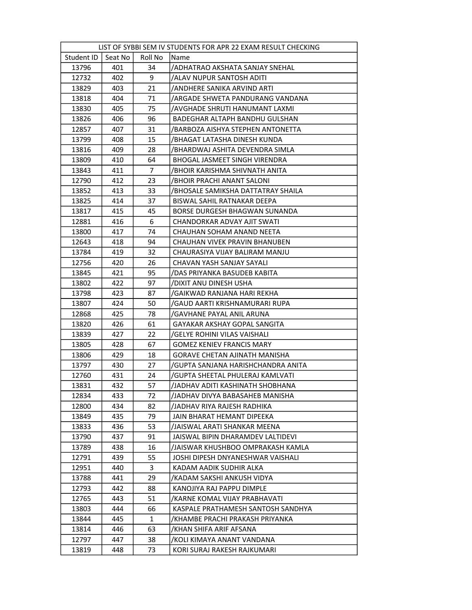| LIST OF SYBBI SEM IV STUDENTS FOR APR 22 EXAM RESULT CHECKING |         |                |                                      |  |  |
|---------------------------------------------------------------|---------|----------------|--------------------------------------|--|--|
| Student ID                                                    | Seat No | Roll No        | Name                                 |  |  |
| 13796                                                         | 401     | 34             | /ADHATRAO AKSHATA SANJAY SNEHAL      |  |  |
| 12732                                                         | 402     | 9              | /ALAV NUPUR SANTOSH ADITI            |  |  |
| 13829                                                         | 403     | 21             | ANDHERE SANIKA ARVIND ARTI/          |  |  |
| 13818                                                         | 404     | 71             | /ARGADE SHWETA PANDURANG VANDANA     |  |  |
| 13830                                                         | 405     | 75             | AVGHADE SHRUTI HANUMANT LAXMI        |  |  |
| 13826                                                         | 406     | 96             | BADEGHAR ALTAPH BANDHU GULSHAN       |  |  |
| 12857                                                         | 407     | 31             | /BARBOZA AISHYA STEPHEN ANTONETTA    |  |  |
| 13799                                                         | 408     | 15             | /BHAGAT LATASHA DINESH KUNDA         |  |  |
| 13816                                                         | 409     | 28             | /BHARDWAJ ASHITA DEVENDRA SIMLA      |  |  |
| 13809                                                         | 410     | 64             | BHOGAL JASMEET SINGH VIRENDRA        |  |  |
| 13843                                                         | 411     | $\overline{7}$ | /BHOIR KARISHMA SHIVNATH ANITA       |  |  |
| 12790                                                         | 412     | 23             | /BHOIR PRACHI ANANT SALONI           |  |  |
| 13852                                                         | 413     | 33             | /BHOSALE SAMIKSHA DATTATRAY SHAILA   |  |  |
| 13825                                                         | 414     | 37             | BISWAL SAHIL RATNAKAR DEEPA          |  |  |
| 13817                                                         | 415     | 45             | BORSE DURGESH BHAGWAN SUNANDA        |  |  |
| 12881                                                         | 416     | 6              | CHANDORKAR ADVAY AJIT SWATI          |  |  |
| 13800                                                         | 417     | 74             | CHAUHAN SOHAM ANAND NEETA            |  |  |
| 12643                                                         | 418     | 94             | CHAUHAN VIVEK PRAVIN BHANUBEN        |  |  |
| 13784                                                         | 419     | 32             | CHAURASIYA VIJAY BALIRAM MANJU       |  |  |
| 12756                                                         | 420     | 26             | CHAVAN YASH SANJAY SAYALI            |  |  |
| 13845                                                         | 421     | 95             | /DAS PRIYANKA BASUDEB KABITA         |  |  |
| 13802                                                         | 422     | 97             | /DIXIT ANU DINESH USHA               |  |  |
| 13798                                                         | 423     | 87             | /GAIKWAD RANJANA HARI REKHA          |  |  |
| 13807                                                         | 424     | 50             | /GAUD AARTI KRISHNAMURARI RUPA       |  |  |
| 12868                                                         | 425     | 78             | /GAVHANE PAYAL ANIL ARUNA            |  |  |
| 13820                                                         | 426     | 61             | <b>GAYAKAR AKSHAY GOPAL SANGITA</b>  |  |  |
| 13839                                                         | 427     | 22             | /GELYE ROHINI VILAS VAISHALI         |  |  |
| 13805                                                         | 428     | 67             | <b>GOMEZ KENIEV FRANCIS MARY</b>     |  |  |
| 13806                                                         | 429     | 18             | <b>GORAVE CHETAN AJINATH MANISHA</b> |  |  |
| 13797                                                         | 430     | 27             | /GUPTA SANJANA HARISHCHANDRA ANITA   |  |  |
| 12760                                                         | 431     | 24             | /GUPTA SHEETAL PHULERAJ KAMLVATI     |  |  |
| 13831                                                         | 432     | 57             | /JADHAV ADITI KASHINATH SHOBHANA     |  |  |
| 12834                                                         | 433     | 72             | /JADHAV DIVYA BABASAHEB MANISHA      |  |  |
| 12800                                                         | 434     | 82             | /JADHAV RIYA RAJESH RADHIKA          |  |  |
| 13849                                                         | 435     | 79             | JAIN BHARAT HEMANT DIPEEKA           |  |  |
| 13833                                                         | 436     | 53             | /JAISWAL ARATI SHANKAR MEENA         |  |  |
| 13790                                                         | 437     | 91             | JAISWAL BIPIN DHARAMDEV LALTIDEVI    |  |  |
| 13789                                                         | 438     | 16             | /JAISWAR KHUSHBOO OMPRAKASH KAMLA    |  |  |
| 12791                                                         | 439     | 55             | JOSHI DIPESH DNYANESHWAR VAISHALI    |  |  |
| 12951                                                         | 440     | 3              | KADAM AADIK SUDHIR ALKA              |  |  |
| 13788                                                         | 441     | 29             | /KADAM SAKSHI ANKUSH VIDYA           |  |  |
| 12793                                                         | 442     | 88             | KANOJIYA RAJ PAPPU DIMPLE            |  |  |
| 12765                                                         | 443     | 51             | /KARNE KOMAL VIJAY PRABHAVATI        |  |  |
| 13803                                                         | 444     | 66             | KASPALE PRATHAMESH SANTOSH SANDHYA   |  |  |
| 13844                                                         | 445     | $\mathbf{1}$   | /KHAMBE PRACHI PRAKASH PRIYANKA      |  |  |
| 13814                                                         | 446     | 63             | /KHAN SHIFA ARIF AFSANA              |  |  |
| 12797                                                         | 447     | 38             | /KOLI KIMAYA ANANT VANDANA           |  |  |
| 13819                                                         | 448     | 73             | KORI SURAJ RAKESH RAJKUMARI          |  |  |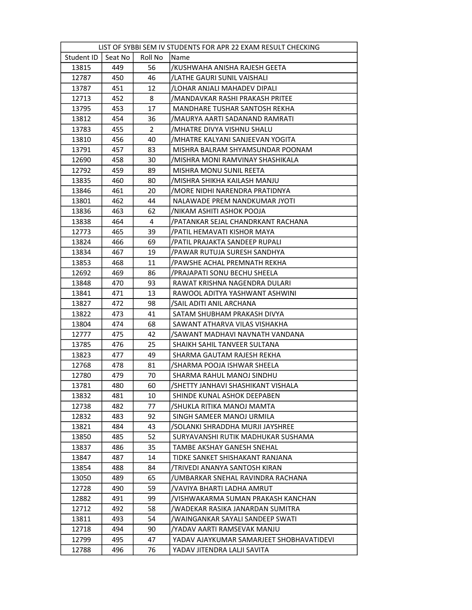| LIST OF SYBBI SEM IV STUDENTS FOR APR 22 EXAM RESULT CHECKING |         |         |                                          |  |  |
|---------------------------------------------------------------|---------|---------|------------------------------------------|--|--|
| Student ID                                                    | Seat No | Roll No | <b>Name</b>                              |  |  |
| 13815                                                         | 449     | 56      | /KUSHWAHA ANISHA RAJESH GEETA            |  |  |
| 12787                                                         | 450     | 46      | /LATHE GAURI SUNIL VAISHALI              |  |  |
| 13787                                                         | 451     | 12      | /LOHAR ANJALI MAHADEV DIPALI             |  |  |
| 12713                                                         | 452     | 8       | /MANDAVKAR RASHI PRAKASH PRITEE          |  |  |
| 13795                                                         | 453     | 17      | MANDHARE TUSHAR SANTOSH REKHA            |  |  |
| 13812                                                         | 454     | 36      | /MAURYA AARTI SADANAND RAMRATI           |  |  |
| 13783                                                         | 455     | 2       | /MHATRE DIVYA VISHNU SHALU               |  |  |
| 13810                                                         | 456     | 40      | /MHATRE KALYANI SANJEEVAN YOGITA         |  |  |
| 13791                                                         | 457     | 83      | MISHRA BALRAM SHYAMSUNDAR POONAM         |  |  |
| 12690                                                         | 458     | 30      | /MISHRA MONI RAMVINAY SHASHIKALA         |  |  |
| 12792                                                         | 459     | 89      | MISHRA MONU SUNIL REETA                  |  |  |
| 13835                                                         | 460     | 80      | /MISHRA SHIKHA KAILASH MANJU             |  |  |
| 13846                                                         | 461     | 20      | /MORE NIDHI NARENDRA PRATIDNYA           |  |  |
| 13801                                                         | 462     | 44      | NALAWADE PREM NANDKUMAR JYOTI            |  |  |
| 13836                                                         | 463     | 62      | /NIKAM ASHITI ASHOK POOJA                |  |  |
| 13838                                                         | 464     | 4       | /PATANKAR SEJAL CHANDRKANT RACHANA       |  |  |
| 12773                                                         | 465     | 39      | /PATIL HEMAVATI KISHOR MAYA              |  |  |
| 13824                                                         | 466     | 69      | /PATIL PRAJAKTA SANDEEP RUPALI           |  |  |
| 13834                                                         | 467     | 19      | /PAWAR RUTUJA SURESH SANDHYA             |  |  |
| 13853                                                         | 468     | 11      | /PAWSHE ACHAL PREMNATH REKHA             |  |  |
| 12692                                                         | 469     | 86      | /PRAJAPATI SONU BECHU SHEELA             |  |  |
| 13848                                                         | 470     | 93      | RAWAT KRISHNA NAGENDRA DULARI            |  |  |
| 13841                                                         | 471     | 13      | RAWOOL ADITYA YASHWANT ASHWINI           |  |  |
| 13827                                                         | 472     | 98      | /SAIL ADITI ANIL ARCHANA                 |  |  |
| 13822                                                         | 473     | 41      | SATAM SHUBHAM PRAKASH DIVYA              |  |  |
| 13804                                                         | 474     | 68      | SAWANT ATHARVA VILAS VISHAKHA            |  |  |
| 12777                                                         | 475     | 42      | /SAWANT MADHAVI NAVNATH VANDANA          |  |  |
| 13785                                                         | 476     | 25      | SHAIKH SAHIL TANVEER SULTANA             |  |  |
| 13823                                                         | 477     | 49      | SHARMA GAUTAM RAJESH REKHA               |  |  |
| 12768                                                         | 478     | 81      | /SHARMA POOJA ISHWAR SHEELA              |  |  |
| 12780                                                         | 479     | 70      | SHARMA RAHUL MANOJ SINDHU                |  |  |
| 13781                                                         | 480     | 60      | /SHETTY JANHAVI SHASHIKANT VISHALA       |  |  |
| 13832                                                         | 481     | 10      | SHINDE KUNAL ASHOK DEEPABEN              |  |  |
| 12738                                                         | 482     | 77      | /SHUKLA RITIKA MANOJ MAMTA               |  |  |
| 12832                                                         | 483     | 92      | SINGH SAMEER MANOJ URMILA                |  |  |
| 13821                                                         | 484     | 43      | /SOLANKI SHRADDHA MURJI JAYSHREE         |  |  |
| 13850                                                         | 485     | 52      | SURYAVANSHI RUTIK MADHUKAR SUSHAMA       |  |  |
| 13837                                                         | 486     | 35      | TAMBE AKSHAY GANESH SNEHAL               |  |  |
| 13847                                                         | 487     | 14      | TIDKE SANKET SHISHAKANT RANJANA          |  |  |
| 13854                                                         | 488     | 84      | /TRIVEDI ANANYA SANTOSH KIRAN            |  |  |
| 13050                                                         | 489     | 65      | /UMBARKAR SNEHAL RAVINDRA RACHANA        |  |  |
| 12728                                                         | 490     | 59      | /VAVIYA BHARTI LADHA AMRUT               |  |  |
| 12882                                                         | 491     | 99      | /VISHWAKARMA SUMAN PRAKASH KANCHAN       |  |  |
| 12712                                                         | 492     | 58      | /WADEKAR RASIKA JANARDAN SUMITRA         |  |  |
| 13811                                                         | 493     | 54      | /WAINGANKAR SAYALI SANDEEP SWATI         |  |  |
| 12718                                                         | 494     | 90      | YADAV AARTI RAMSEVAK MANJU               |  |  |
| 12799                                                         | 495     | 47      | YADAV AJAYKUMAR SAMARJEET SHOBHAVATIDEVI |  |  |
| 12788                                                         | 496     | 76      | YADAV JITENDRA LALJI SAVITA              |  |  |